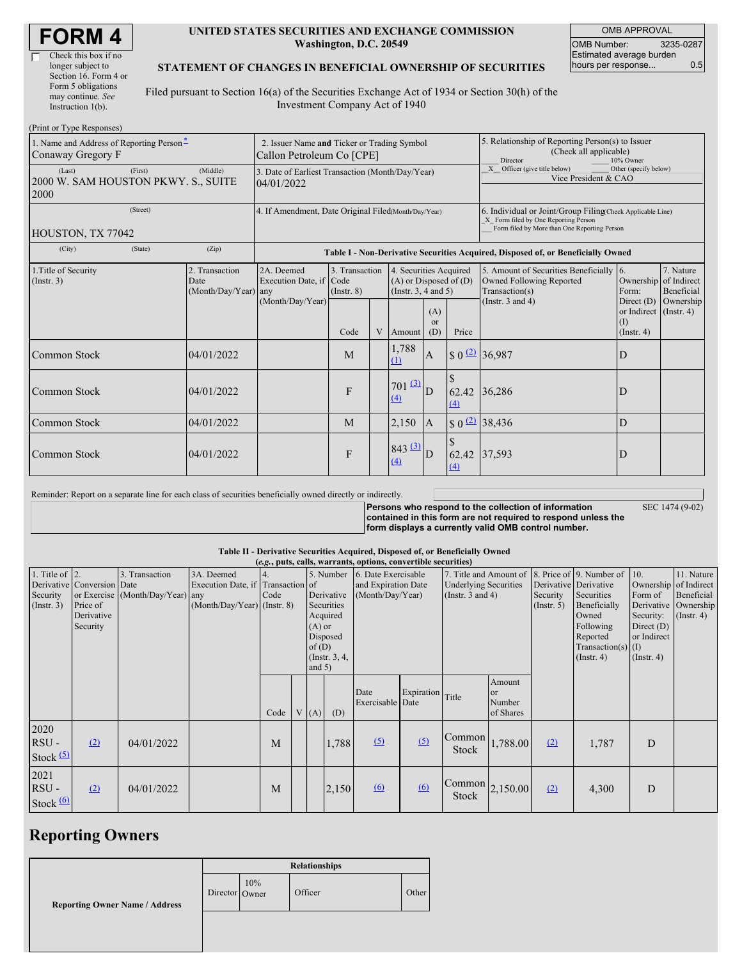| <b>FORM4</b> |
|--------------|
|--------------|

 $\Box$ 

### **UNITED STATES SECURITIES AND EXCHANGE COMMISSION Washington, D.C. 20549**

OMB APPROVAL OMB Number: 3235-0287 Estimated average burden hours per response... 0.5

## **STATEMENT OF CHANGES IN BENEFICIAL OWNERSHIP OF SECURITIES**

Filed pursuant to Section 16(a) of the Securities Exchange Act of 1934 or Section 30(h) of the Investment Company Act of 1940

| (Print or Type Responses)                                                    |                                                                          |                                                                                  |                                   |   |                                                                              |                             |                                                                                                                                                    |                                                                                       |                                                 |                               |  |
|------------------------------------------------------------------------------|--------------------------------------------------------------------------|----------------------------------------------------------------------------------|-----------------------------------|---|------------------------------------------------------------------------------|-----------------------------|----------------------------------------------------------------------------------------------------------------------------------------------------|---------------------------------------------------------------------------------------|-------------------------------------------------|-------------------------------|--|
| 1. Name and Address of Reporting Person*<br>Conaway Gregory F                | 2. Issuer Name and Ticker or Trading Symbol<br>Callon Petroleum Co [CPE] |                                                                                  |                                   |   |                                                                              |                             | 5. Relationship of Reporting Person(s) to Issuer<br>(Check all applicable)<br>Director<br>10% Owner                                                |                                                                                       |                                                 |                               |  |
| (Middle)<br>(First)<br>(Last)<br>2000 W. SAM HOUSTON PKWY. S., SUITE<br>2000 |                                                                          | 3. Date of Earliest Transaction (Month/Day/Year)<br>04/01/2022                   |                                   |   |                                                                              |                             |                                                                                                                                                    | X Officer (give title below)<br>Other (specify below)<br>Vice President & CAO         |                                                 |                               |  |
| (Street)<br>HOUSTON, TX 77042                                                | 4. If Amendment, Date Original Filed(Month/Day/Year)                     |                                                                                  |                                   |   |                                                                              |                             | 6. Individual or Joint/Group Filing(Check Applicable Line)<br>X Form filed by One Reporting Person<br>Form filed by More than One Reporting Person |                                                                                       |                                                 |                               |  |
| (City)<br>(State)                                                            | (Zip)                                                                    | Table I - Non-Derivative Securities Acquired, Disposed of, or Beneficially Owned |                                   |   |                                                                              |                             |                                                                                                                                                    |                                                                                       |                                                 |                               |  |
| 1. Title of Security<br>(Insert. 3)                                          | 2. Transaction<br>Date<br>(Month/Day/Year)                               | 2A. Deemed<br>Execution Date, if Code<br>any<br>(Month/Day/Year)                 | 3. Transaction<br>$($ Instr. $8)$ |   | 4. Securities Acquired<br>$(A)$ or Disposed of $(D)$<br>(Insert. 3, 4 and 5) |                             |                                                                                                                                                    | 5. Amount of Securities Beneficially 6.<br>Owned Following Reported<br>Transaction(s) | Ownership of Indirect<br>Form:                  | 7. Nature<br>Beneficial       |  |
|                                                                              |                                                                          |                                                                                  | Code                              | V | Amount                                                                       | (A)<br><sub>or</sub><br>(D) | Price                                                                                                                                              | (Instr. $3$ and $4$ )                                                                 | Direct (D)<br>or Indirect<br>(I)<br>(Insert. 4) | Ownership<br>$($ Instr. 4 $)$ |  |
| Common Stock                                                                 | 04/01/2022                                                               |                                                                                  | M                                 |   | 1,788<br>(1)                                                                 | $\mathbf{A}$                |                                                                                                                                                    | $$0 \frac{(2)}{36,987}$                                                               | D                                               |                               |  |
| Common Stock                                                                 | 04/01/2022                                                               |                                                                                  | F                                 |   | 701(3)<br>(4)                                                                | D                           | 62.42<br>(4)                                                                                                                                       | 36,286                                                                                | D                                               |                               |  |
| Common Stock                                                                 | 04/01/2022                                                               |                                                                                  | M                                 |   | 2,150                                                                        | $\mathbf{A}$                |                                                                                                                                                    | $$0$ (2) 38,436                                                                       | D                                               |                               |  |
| Common Stock                                                                 | 04/01/2022                                                               |                                                                                  | F                                 |   | $843 \, 3$<br>(4)                                                            | ID                          | 62.42<br>(4)                                                                                                                                       | 37,593                                                                                | D                                               |                               |  |

Reminder: Report on a separate line for each class of securities beneficially owned directly or indirectly.

**Persons who respond to the collection of information contained in this form are not required to respond unless the form displays a currently valid OMB control number.**

SEC 1474 (9-02)

## **Table II - Derivative Securities Acquired, Disposed of, or Beneficially Owned**

| (e.g., puts, calls, warrants, options, convertible securities) |                                                                  |                                                    |                                                                                  |      |  |                                                                                    |                           |                                                                |            |                                                                                 |                                     |                              |                                                                                                                                           |                                                                                             |                                                                      |
|----------------------------------------------------------------|------------------------------------------------------------------|----------------------------------------------------|----------------------------------------------------------------------------------|------|--|------------------------------------------------------------------------------------|---------------------------|----------------------------------------------------------------|------------|---------------------------------------------------------------------------------|-------------------------------------|------------------------------|-------------------------------------------------------------------------------------------------------------------------------------------|---------------------------------------------------------------------------------------------|----------------------------------------------------------------------|
| 1. Title of $\vert$ 2.<br>Security<br>(Insert. 3)              | Derivative Conversion Date<br>Price of<br>Derivative<br>Security | 3. Transaction<br>or Exercise (Month/Day/Year) any | 3A. Deemed<br>Execution Date, if Transaction of<br>$(Month/Day/Year)$ (Instr. 8) | Code |  | 5. Number<br>Derivative<br>Securities<br>Acquired<br>$(A)$ or<br>Disposed<br>of(D) |                           | 6. Date Exercisable<br>and Expiration Date<br>(Month/Day/Year) |            | 7. Title and Amount of<br><b>Underlying Securities</b><br>(Instr. $3$ and $4$ ) |                                     | Security<br>$($ Instr. 5 $)$ | 8. Price of 9. Number of<br>Derivative Derivative<br>Securities<br>Beneficially<br>Owned<br>Following<br>Reported<br>Transaction(s) $(I)$ | $\vert$ 10.<br>Ownership of Indirect<br>Form of<br>Security:<br>Direct $(D)$<br>or Indirect | 11. Nature<br>Beneficial<br>Derivative Ownership<br>$($ Instr. 4 $)$ |
|                                                                |                                                                  |                                                    |                                                                                  | Code |  | and $5)$<br>V(A)                                                                   | $($ Instr. $3, 4,$<br>(D) | Date<br>Exercisable Date                                       | Expiration | Title                                                                           | Amount<br>or<br>Number<br>of Shares |                              | $($ Instr. 4 $)$                                                                                                                          | $($ Instr. 4 $)$                                                                            |                                                                      |
| 2020<br>$RSU -$<br>Stock $(5)$                                 | (2)                                                              | 04/01/2022                                         |                                                                                  | M    |  |                                                                                    | 1,788                     | (5)                                                            | (5)        | Common<br>Stock                                                                 | 1,788.00                            | (2)                          | 1,787                                                                                                                                     | D                                                                                           |                                                                      |
| 2021<br>$RSU -$<br>Stock $(6)$                                 | (2)                                                              | 04/01/2022                                         |                                                                                  | M    |  |                                                                                    | 2,150                     | 6                                                              | 6          | $\begin{bmatrix} \text{Common} \\ \text{2,150.00} \end{bmatrix}$<br>Stock       |                                     | (2)                          | 4,300                                                                                                                                     | D                                                                                           |                                                                      |

# **Reporting Owners**

|                                       | <b>Relationships</b> |     |         |       |  |  |  |  |
|---------------------------------------|----------------------|-----|---------|-------|--|--|--|--|
| <b>Reporting Owner Name / Address</b> | Director Owner       | 10% | Officer | Other |  |  |  |  |
|                                       |                      |     |         |       |  |  |  |  |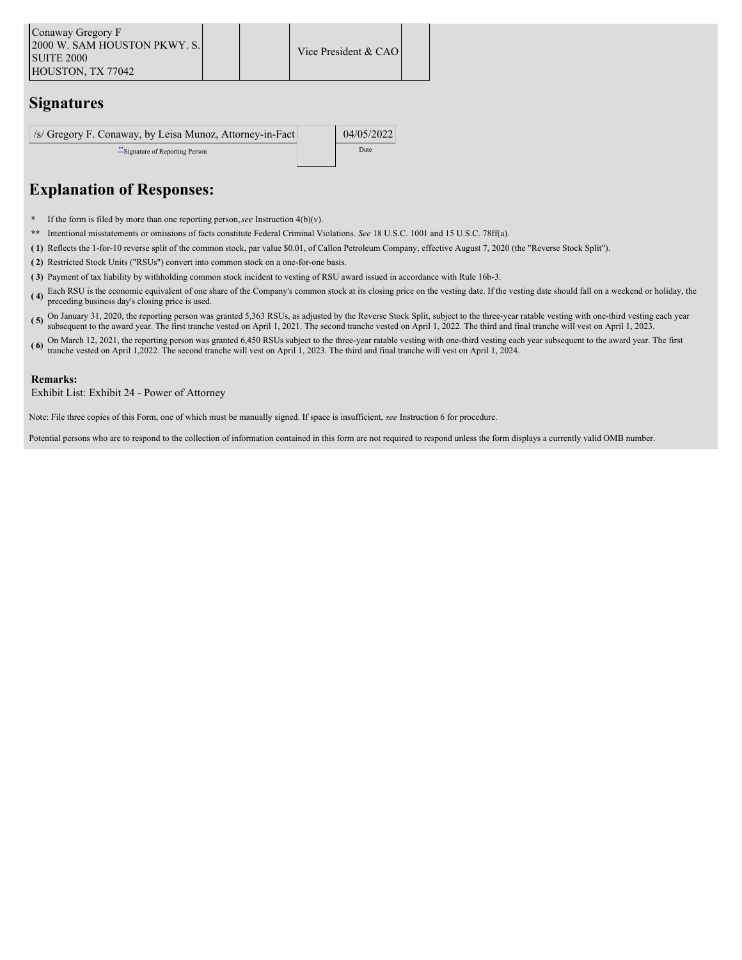## **Signatures**

| /s/ Gregory F. Conaway, by Leisa Munoz, Attorney-in-Fact | 04/05/2022 |
|----------------------------------------------------------|------------|
| Signature of Reporting Person                            | Date       |
|                                                          |            |

## **Explanation of Responses:**

- **\*** If the form is filed by more than one reporting person,*see* Instruction 4(b)(v).
- **\*\*** Intentional misstatements or omissions of facts constitute Federal Criminal Violations. *See* 18 U.S.C. 1001 and 15 U.S.C. 78ff(a).
- **( 1)** Reflects the 1-for-10 reverse split of the common stock, par value \$0.01, of Callon Petroleum Company, effective August 7, 2020 (the "Reverse Stock Split").
- **( 2)** Restricted Stock Units ("RSUs") convert into common stock on a one-for-one basis.
- **( 3)** Payment of tax liability by withholding common stock incident to vesting of RSU award issued in accordance with Rule 16b-3.
- **( 4)** Each RSU is the economic equivalent of one share of the Company's common stock at its closing price on the vesting date. If the vesting date should fall on a weekend or holiday, the preceding business day's closing price is used.
- (5) On January 31, 2020, the reporting person was granted 5,363 RSUs, as adjusted by the Reverse Stock Split, subject to the three-year ratable vesting with one-third vesting each year person was granted 5,363 RSUs, as ad subsequent to the award year. The first tranche vested on April 1, 2021. The second tranche vested on April 1, 2022. The third and final tranche will vest on April 1, 2023.
- (6) On March 12, 2021, the reporting person was granted 6,450 RSUs subject to the three-year ratable vesting with one-third vesting each year subsequent to the award year. The first transported on April 1,2022, The speedy tranche vested on April 1,2022. The second tranche will vest on April 1, 2023. The third and final tranche will vest on April 1, 2024.

### **Remarks:**

Exhibit List: Exhibit 24 - Power of Attorney

Note: File three copies of this Form, one of which must be manually signed. If space is insufficient, *see* Instruction 6 for procedure.

Potential persons who are to respond to the collection of information contained in this form are not required to respond unless the form displays a currently valid OMB number.